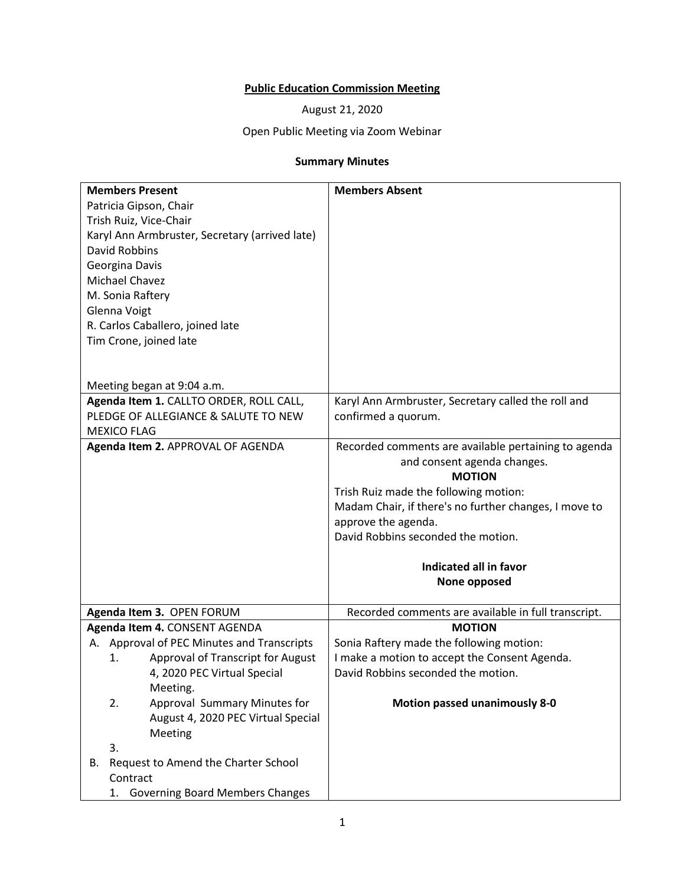## **Public Education Commission Meeting**

August 21, 2020

## Open Public Meeting via Zoom Webinar

## **Summary Minutes**

| <b>Members Present</b>                         | <b>Members Absent</b>                                 |
|------------------------------------------------|-------------------------------------------------------|
| Patricia Gipson, Chair                         |                                                       |
| Trish Ruiz, Vice-Chair                         |                                                       |
| Karyl Ann Armbruster, Secretary (arrived late) |                                                       |
| <b>David Robbins</b>                           |                                                       |
| Georgina Davis                                 |                                                       |
| Michael Chavez                                 |                                                       |
| M. Sonia Raftery                               |                                                       |
| Glenna Voigt                                   |                                                       |
| R. Carlos Caballero, joined late               |                                                       |
| Tim Crone, joined late                         |                                                       |
|                                                |                                                       |
|                                                |                                                       |
| Meeting began at 9:04 a.m.                     |                                                       |
| Agenda Item 1. CALLTO ORDER, ROLL CALL,        | Karyl Ann Armbruster, Secretary called the roll and   |
| PLEDGE OF ALLEGIANCE & SALUTE TO NEW           | confirmed a quorum.                                   |
| <b>MEXICO FLAG</b>                             |                                                       |
| Agenda Item 2. APPROVAL OF AGENDA              | Recorded comments are available pertaining to agenda  |
|                                                | and consent agenda changes.                           |
|                                                | <b>MOTION</b>                                         |
|                                                | Trish Ruiz made the following motion:                 |
|                                                | Madam Chair, if there's no further changes, I move to |
|                                                | approve the agenda.                                   |
|                                                | David Robbins seconded the motion.                    |
|                                                | Indicated all in favor                                |
|                                                | None opposed                                          |
|                                                |                                                       |
| Agenda Item 3. OPEN FORUM                      | Recorded comments are available in full transcript.   |
| Agenda Item 4. CONSENT AGENDA                  | <b>MOTION</b>                                         |
| A. Approval of PEC Minutes and Transcripts     | Sonia Raftery made the following motion:              |
| Approval of Transcript for August<br>1.        | I make a motion to accept the Consent Agenda.         |
| 4, 2020 PEC Virtual Special                    | David Robbins seconded the motion.                    |
| Meeting.                                       |                                                       |
| Approval Summary Minutes for<br>2.             | <b>Motion passed unanimously 8-0</b>                  |
| August 4, 2020 PEC Virtual Special             |                                                       |
| Meeting                                        |                                                       |
| 3.                                             |                                                       |
| Request to Amend the Charter School<br>В.      |                                                       |
| Contract                                       |                                                       |
| <b>Governing Board Members Changes</b><br>1.   |                                                       |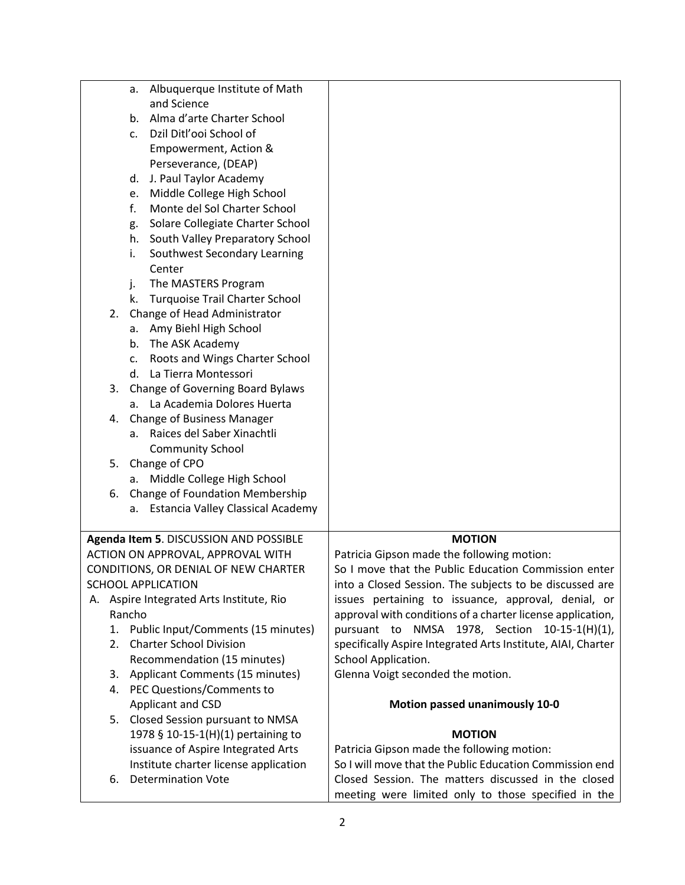|    | a.             | Albuquerque Institute of Math            |                                                              |
|----|----------------|------------------------------------------|--------------------------------------------------------------|
|    |                | and Science                              |                                                              |
|    |                | b. Alma d'arte Charter School            |                                                              |
|    | $\mathsf{C}$ . | Dzil Ditl'ooi School of                  |                                                              |
|    |                | Empowerment, Action &                    |                                                              |
|    |                | Perseverance, (DEAP)                     |                                                              |
|    |                | d. J. Paul Taylor Academy                |                                                              |
|    | e.             | Middle College High School               |                                                              |
|    | f.             | Monte del Sol Charter School             |                                                              |
|    | g.             | Solare Collegiate Charter School         |                                                              |
|    |                | h. South Valley Preparatory School       |                                                              |
|    | i.             | Southwest Secondary Learning             |                                                              |
|    |                | Center                                   |                                                              |
|    | j.             | The MASTERS Program                      |                                                              |
|    | k.             | <b>Turquoise Trail Charter School</b>    |                                                              |
| 2. |                | Change of Head Administrator             |                                                              |
|    |                | a. Amy Biehl High School                 |                                                              |
|    |                | b. The ASK Academy                       |                                                              |
|    | C.             | Roots and Wings Charter School           |                                                              |
|    |                | d. La Tierra Montessori                  |                                                              |
|    | 3.             | Change of Governing Board Bylaws         |                                                              |
|    |                | a. La Academia Dolores Huerta            |                                                              |
| 4. |                | Change of Business Manager               |                                                              |
|    |                | a. Raices del Saber Xinachtli            |                                                              |
|    |                | <b>Community School</b>                  |                                                              |
| 5. |                | Change of CPO                            |                                                              |
|    |                | a. Middle College High School            |                                                              |
| 6. |                | Change of Foundation Membership          |                                                              |
|    | а.             | <b>Estancia Valley Classical Academy</b> |                                                              |
|    |                |                                          |                                                              |
|    |                | Agenda Item 5. DISCUSSION AND POSSIBLE   | <b>MOTION</b>                                                |
|    |                | ACTION ON APPROVAL, APPROVAL WITH        | Patricia Gipson made the following motion:                   |
|    |                | CONDITIONS, OR DENIAL OF NEW CHARTER     | So I move that the Public Education Commission enter         |
|    |                | SCHOOL APPLICATION                       | into a Closed Session. The subjects to be discussed are      |
|    |                | A. Aspire Integrated Arts Institute, Rio | issues pertaining to issuance, approval, denial, or          |
|    | Rancho         |                                          | approval with conditions of a charter license application,   |
|    | 1.             | Public Input/Comments (15 minutes)       | pursuant to NMSA 1978, Section 10-15-1(H)(1),                |
| 2. |                | <b>Charter School Division</b>           | specifically Aspire Integrated Arts Institute, AIAI, Charter |
|    |                | Recommendation (15 minutes)              | School Application.                                          |
| 3. |                | Applicant Comments (15 minutes)          | Glenna Voigt seconded the motion.                            |
|    |                | 4. PEC Questions/Comments to             |                                                              |
|    |                | Applicant and CSD                        | Motion passed unanimously 10-0                               |
|    | 5.             | Closed Session pursuant to NMSA          |                                                              |
|    |                | 1978 § 10-15-1(H)(1) pertaining to       | <b>MOTION</b>                                                |
|    |                | issuance of Aspire Integrated Arts       | Patricia Gipson made the following motion:                   |
|    |                | Institute charter license application    | So I will move that the Public Education Commission end      |
| 6. |                | <b>Determination Vote</b>                | Closed Session. The matters discussed in the closed          |
|    |                |                                          | meeting were limited only to those specified in the          |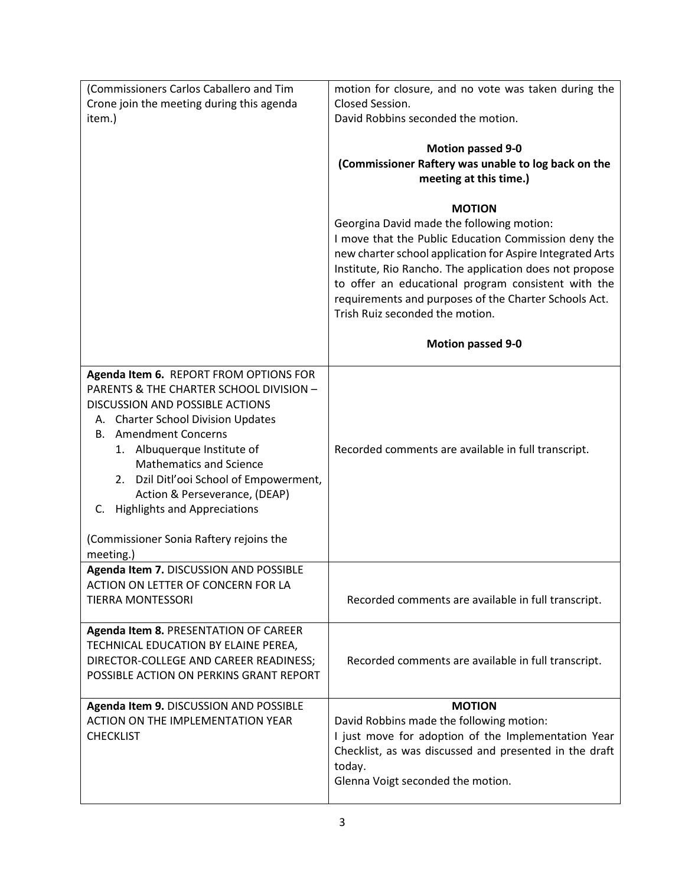| (Commissioners Carlos Caballero and Tim                                                                                                                                                                                                                                                                                                                                                                                     | motion for closure, and no vote was taken during the                                                                                                                                                                                                                                                                                                                                                                      |
|-----------------------------------------------------------------------------------------------------------------------------------------------------------------------------------------------------------------------------------------------------------------------------------------------------------------------------------------------------------------------------------------------------------------------------|---------------------------------------------------------------------------------------------------------------------------------------------------------------------------------------------------------------------------------------------------------------------------------------------------------------------------------------------------------------------------------------------------------------------------|
| Crone join the meeting during this agenda                                                                                                                                                                                                                                                                                                                                                                                   | Closed Session.                                                                                                                                                                                                                                                                                                                                                                                                           |
| item.)                                                                                                                                                                                                                                                                                                                                                                                                                      | David Robbins seconded the motion.                                                                                                                                                                                                                                                                                                                                                                                        |
|                                                                                                                                                                                                                                                                                                                                                                                                                             |                                                                                                                                                                                                                                                                                                                                                                                                                           |
|                                                                                                                                                                                                                                                                                                                                                                                                                             | <b>Motion passed 9-0</b>                                                                                                                                                                                                                                                                                                                                                                                                  |
|                                                                                                                                                                                                                                                                                                                                                                                                                             | (Commissioner Raftery was unable to log back on the                                                                                                                                                                                                                                                                                                                                                                       |
|                                                                                                                                                                                                                                                                                                                                                                                                                             | meeting at this time.)                                                                                                                                                                                                                                                                                                                                                                                                    |
|                                                                                                                                                                                                                                                                                                                                                                                                                             | <b>MOTION</b><br>Georgina David made the following motion:<br>I move that the Public Education Commission deny the<br>new charter school application for Aspire Integrated Arts<br>Institute, Rio Rancho. The application does not propose<br>to offer an educational program consistent with the<br>requirements and purposes of the Charter Schools Act.<br>Trish Ruiz seconded the motion.<br><b>Motion passed 9-0</b> |
|                                                                                                                                                                                                                                                                                                                                                                                                                             |                                                                                                                                                                                                                                                                                                                                                                                                                           |
| Agenda Item 6. REPORT FROM OPTIONS FOR<br>PARENTS & THE CHARTER SCHOOL DIVISION -<br>DISCUSSION AND POSSIBLE ACTIONS<br>A. Charter School Division Updates<br><b>Amendment Concerns</b><br>В.<br>Albuquerque Institute of<br>1.<br><b>Mathematics and Science</b><br>2. Dzil Ditl'ooi School of Empowerment,<br>Action & Perseverance, (DEAP)<br>C. Highlights and Appreciations<br>(Commissioner Sonia Raftery rejoins the | Recorded comments are available in full transcript.                                                                                                                                                                                                                                                                                                                                                                       |
| meeting.)                                                                                                                                                                                                                                                                                                                                                                                                                   |                                                                                                                                                                                                                                                                                                                                                                                                                           |
| Agenda Item 7. DISCUSSION AND POSSIBLE<br>ACTION ON LETTER OF CONCERN FOR LA<br><b>TIERRA MONTESSORI</b>                                                                                                                                                                                                                                                                                                                    | Recorded comments are available in full transcript.                                                                                                                                                                                                                                                                                                                                                                       |
|                                                                                                                                                                                                                                                                                                                                                                                                                             |                                                                                                                                                                                                                                                                                                                                                                                                                           |
| Agenda Item 8. PRESENTATION OF CAREER<br>TECHNICAL EDUCATION BY ELAINE PEREA,<br>DIRECTOR-COLLEGE AND CAREER READINESS;<br>POSSIBLE ACTION ON PERKINS GRANT REPORT                                                                                                                                                                                                                                                          | Recorded comments are available in full transcript.                                                                                                                                                                                                                                                                                                                                                                       |
| Agenda Item 9. DISCUSSION AND POSSIBLE                                                                                                                                                                                                                                                                                                                                                                                      | <b>MOTION</b>                                                                                                                                                                                                                                                                                                                                                                                                             |
| ACTION ON THE IMPLEMENTATION YEAR<br><b>CHECKLIST</b>                                                                                                                                                                                                                                                                                                                                                                       | David Robbins made the following motion:<br>I just move for adoption of the Implementation Year<br>Checklist, as was discussed and presented in the draft<br>today.<br>Glenna Voigt seconded the motion.                                                                                                                                                                                                                  |